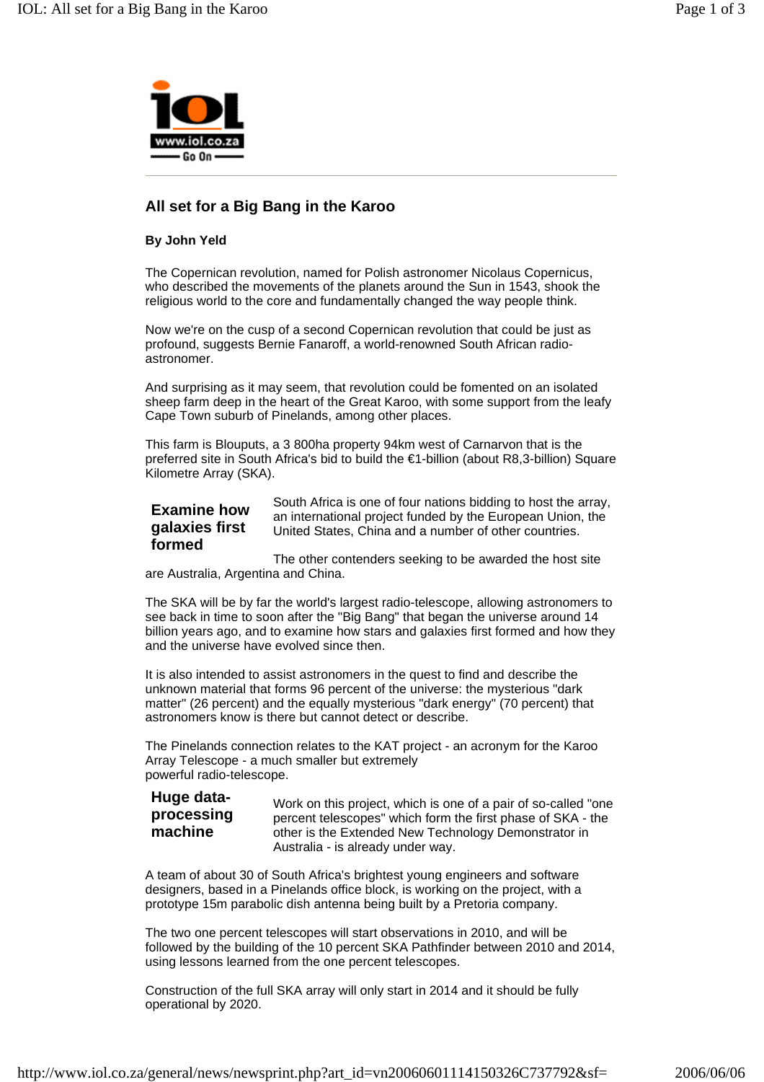

## **All set for a Big Bang in the Karoo**

## **By John Yeld**

The Copernican revolution, named for Polish astronomer Nicolaus Copernicus, who described the movements of the planets around the Sun in 1543, shook the religious world to the core and fundamentally changed the way people think.

Now we're on the cusp of a second Copernican revolution that could be just as profound, suggests Bernie Fanaroff, a world-renowned South African radioastronomer.

And surprising as it may seem, that revolution could be fomented on an isolated sheep farm deep in the heart of the Great Karoo, with some support from the leafy Cape Town suburb of Pinelands, among other places.

This farm is Blouputs, a 3 800ha property 94km west of Carnarvon that is the preferred site in South Africa's bid to build the €1-billion (about R8,3-billion) Square Kilometre Array (SKA).

## **Examine how galaxies first formed**

South Africa is one of four nations bidding to host the array, an international project funded by the European Union, the United States, China and a number of other countries.

The other contenders seeking to be awarded the host site are Australia, Argentina and China.

The SKA will be by far the world's largest radio-telescope, allowing astronomers to see back in time to soon after the "Big Bang" that began the universe around 14 billion years ago, and to examine how stars and galaxies first formed and how they and the universe have evolved since then.

It is also intended to assist astronomers in the quest to find and describe the unknown material that forms 96 percent of the universe: the mysterious "dark matter" (26 percent) and the equally mysterious "dark energy" (70 percent) that astronomers know is there but cannot detect or describe.

The Pinelands connection relates to the KAT project - an acronym for the Karoo Array Telescope - a much smaller but extremely powerful radio-telescope.

## **Huge dataprocessing machine**

Work on this project, which is one of a pair of so-called "one percent telescopes" which form the first phase of SKA - the other is the Extended New Technology Demonstrator in Australia - is already under way.

A team of about 30 of South Africa's brightest young engineers and software designers, based in a Pinelands office block, is working on the project, with a prototype 15m parabolic dish antenna being built by a Pretoria company.

The two one percent telescopes will start observations in 2010, and will be followed by the building of the 10 percent SKA Pathfinder between 2010 and 2014, using lessons learned from the one percent telescopes.

Construction of the full SKA array will only start in 2014 and it should be fully operational by 2020.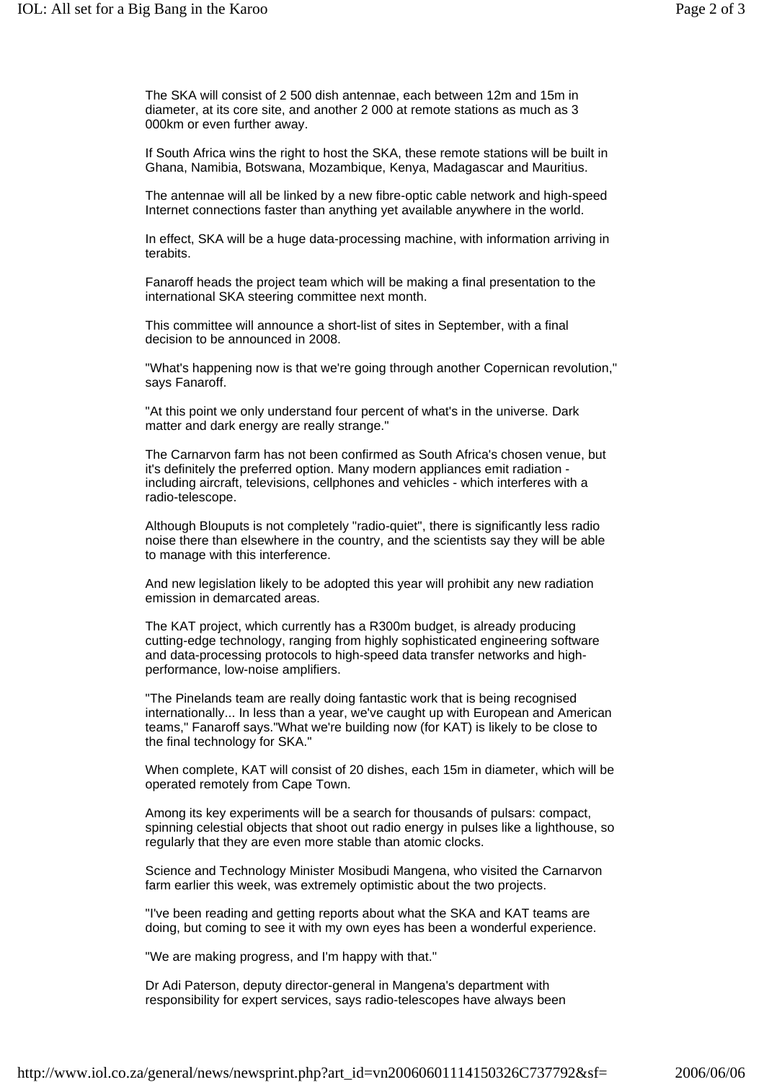The SKA will consist of 2 500 dish antennae, each between 12m and 15m in diameter, at its core site, and another 2 000 at remote stations as much as 3 000km or even further away.

If South Africa wins the right to host the SKA, these remote stations will be built in Ghana, Namibia, Botswana, Mozambique, Kenya, Madagascar and Mauritius.

The antennae will all be linked by a new fibre-optic cable network and high-speed Internet connections faster than anything yet available anywhere in the world.

In effect, SKA will be a huge data-processing machine, with information arriving in terabits.

Fanaroff heads the project team which will be making a final presentation to the international SKA steering committee next month.

This committee will announce a short-list of sites in September, with a final decision to be announced in 2008.

"What's happening now is that we're going through another Copernican revolution," says Fanaroff.

"At this point we only understand four percent of what's in the universe. Dark matter and dark energy are really strange."

The Carnarvon farm has not been confirmed as South Africa's chosen venue, but it's definitely the preferred option. Many modern appliances emit radiation including aircraft, televisions, cellphones and vehicles - which interferes with a radio-telescope.

Although Blouputs is not completely "radio-quiet", there is significantly less radio noise there than elsewhere in the country, and the scientists say they will be able to manage with this interference.

And new legislation likely to be adopted this year will prohibit any new radiation emission in demarcated areas.

The KAT project, which currently has a R300m budget, is already producing cutting-edge technology, ranging from highly sophisticated engineering software and data-processing protocols to high-speed data transfer networks and highperformance, low-noise amplifiers.

"The Pinelands team are really doing fantastic work that is being recognised internationally... In less than a year, we've caught up with European and American teams," Fanaroff says."What we're building now (for KAT) is likely to be close to the final technology for SKA."

When complete, KAT will consist of 20 dishes, each 15m in diameter, which will be operated remotely from Cape Town.

Among its key experiments will be a search for thousands of pulsars: compact, spinning celestial objects that shoot out radio energy in pulses like a lighthouse, so regularly that they are even more stable than atomic clocks.

Science and Technology Minister Mosibudi Mangena, who visited the Carnarvon farm earlier this week, was extremely optimistic about the two projects.

"I've been reading and getting reports about what the SKA and KAT teams are doing, but coming to see it with my own eyes has been a wonderful experience.

"We are making progress, and I'm happy with that."

Dr Adi Paterson, deputy director-general in Mangena's department with responsibility for expert services, says radio-telescopes have always been